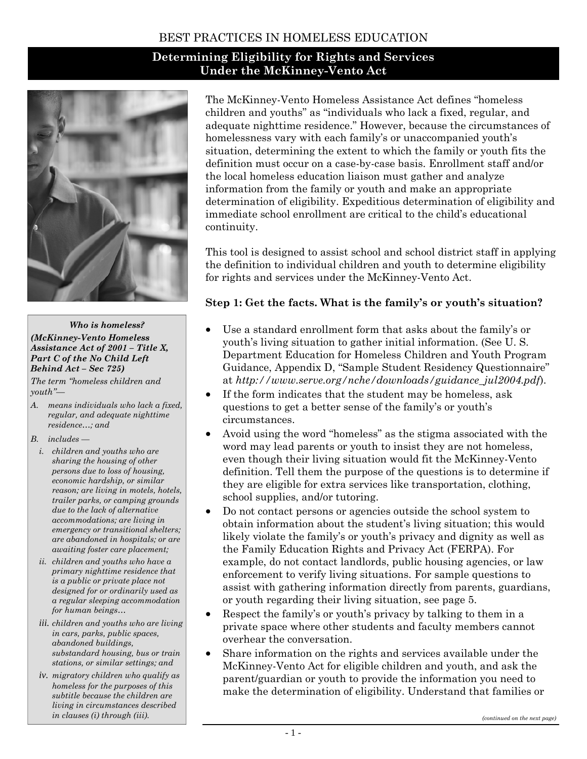### BEST PRACTICES IN HOMELESS EDUCATION

# **Determining Eligibility for Rights and Services Under the McKinney-Vento Act**



#### *Who is homeless?*

#### *(McKinney-Vento Homeless Assistance Act of 2001 – Title X, Part C of the No Child Left Behind Act – Sec 725)*

*The term "homeless children and youth"—* 

*A. means individuals who lack a fixed, regular, and adequate nighttime residence…; and* 

*B. includes —* 

- *i. children and youths who are sharing the housing of other persons due to loss of housing, economic hardship, or similar reason; are living in motels, hotels, trailer parks, or camping grounds due to the lack of alternative accommodations; are living in emergency or transitional shelters; are abandoned in hospitals; or are awaiting foster care placement;*
- *ii. children and youths who have a primary nighttime residence that is a public or private place not designed for or ordinarily used as a regular sleeping accommodation for human beings…*
- *iii. children and youths who are living in cars, parks, public spaces, abandoned buildings, substandard housing, bus or train stations, or similar settings; and*
- *iv. migratory children who qualify as homeless for the purposes of this subtitle because the children are living in circumstances described in clauses (i) through (iii).*

The McKinney-Vento Homeless Assistance Act defines "homeless children and youths" as "individuals who lack a fixed, regular, and adequate nighttime residence." However, because the circumstances of homelessness vary with each family's or unaccompanied youth's situation, determining the extent to which the family or youth fits the definition must occur on a case-by-case basis. Enrollment staff and/or the local homeless education liaison must gather and analyze information from the family or youth and make an appropriate determination of eligibility. Expeditious determination of eligibility and immediate school enrollment are critical to the child's educational continuity.

This tool is designed to assist school and school district staff in applying the definition to individual children and youth to determine eligibility for rights and services under the McKinney-Vento Act.

#### **Step 1: Get the facts. What is the family's or youth's situation?**

- Use a standard enrollment form that asks about the family's or youth's living situation to gather initial information. (See U. S. Department Education for Homeless Children and Youth Program Guidance, Appendix D, "Sample Student Residency Questionnaire" at *http://www.serve.org/nche/downloads/guidance\_jul2004.pdf*).
- If the form indicates that the student may be homeless, ask questions to get a better sense of the family's or youth's circumstances.
- Avoid using the word "homeless" as the stigma associated with the word may lead parents or youth to insist they are not homeless, even though their living situation would fit the McKinney-Vento definition. Tell them the purpose of the questions is to determine if they are eligible for extra services like transportation, clothing, school supplies, and/or tutoring.
- Do not contact persons or agencies outside the school system to obtain information about the student's living situation; this would likely violate the family's or youth's privacy and dignity as well as the Family Education Rights and Privacy Act (FERPA). For example, do not contact landlords, public housing agencies, or law enforcement to verify living situations. For sample questions to assist with gathering information directly from parents, guardians, or youth regarding their living situation, see page 5.
- Respect the family's or youth's privacy by talking to them in a private space where other students and faculty members cannot overhear the conversation.
- Share information on the rights and services available under the McKinney-Vento Act for eligible children and youth, and ask the parent/guardian or youth to provide the information you need to make the determination of eligibility. Understand that families or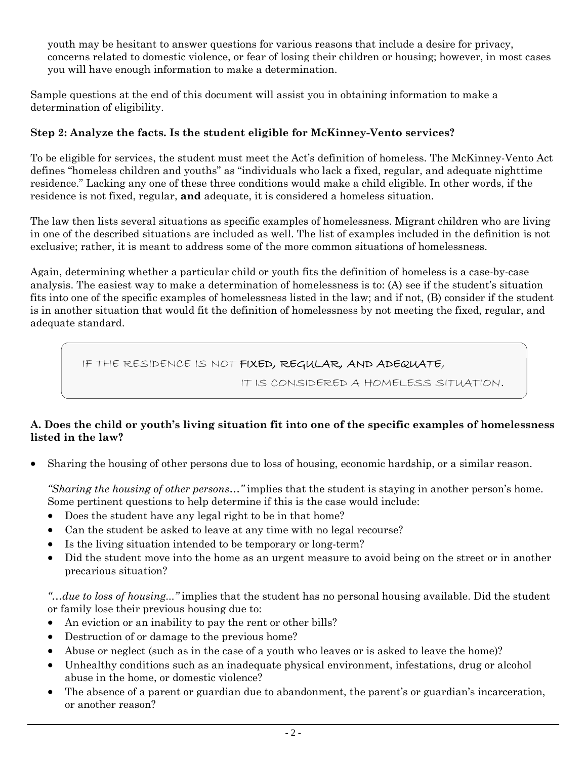youth may be hesitant to answer questions for various reasons that include a desire for privacy, concerns related to domestic violence, or fear of losing their children or housing; however, in most cases you will have enough information to make a determination.

Sample questions at the end of this document will assist you in obtaining information to make a determination of eligibility.

## **Step 2: Analyze the facts. Is the student eligible for McKinney-Vento services?**

To be eligible for services, the student must meet the Act's definition of homeless. The McKinney-Vento Act defines "homeless children and youths" as "individuals who lack a fixed, regular, and adequate nighttime residence." Lacking any one of these three conditions would make a child eligible. In other words, if the residence is not fixed, regular, **and** adequate, it is considered a homeless situation.

The law then lists several situations as specific examples of homelessness. Migrant children who are living in one of the described situations are included as well. The list of examples included in the definition is not exclusive; rather, it is meant to address some of the more common situations of homelessness.

Again, determining whether a particular child or youth fits the definition of homeless is a case-by-case analysis. The easiest way to make a determination of homelessness is to: (A) see if the student's situation fits into one of the specific examples of homelessness listed in the law; and if not, (B) consider if the student is in another situation that would fit the definition of homelessness by not meeting the fixed, regular, and adequate standard.

# IF THE RESIDENCE IS NOT FIXED, REGULAR, AND ADEQUATE,

IT IS CONSIDERED A HOMELESS SITUATION.

### **A. Does the child or youth's living situation fit into one of the specific examples of homelessness listed in the law?**

• Sharing the housing of other persons due to loss of housing, economic hardship, or a similar reason.

*"Sharing the housing of other persons…"* implies that the student is staying in another person's home. Some pertinent questions to help determine if this is the case would include:

- Does the student have any legal right to be in that home?
- Can the student be asked to leave at any time with no legal recourse?
- Is the living situation intended to be temporary or long-term?
- Did the student move into the home as an urgent measure to avoid being on the street or in another precarious situation?

*"…due to loss of housing..."* implies that the student has no personal housing available. Did the student or family lose their previous housing due to:

- An eviction or an inability to pay the rent or other bills?
- Destruction of or damage to the previous home?
- Abuse or neglect (such as in the case of a youth who leaves or is asked to leave the home)?
- Unhealthy conditions such as an inadequate physical environment, infestations, drug or alcohol abuse in the home, or domestic violence?
- The absence of a parent or guardian due to abandonment, the parent's or guardian's incarceration, or another reason?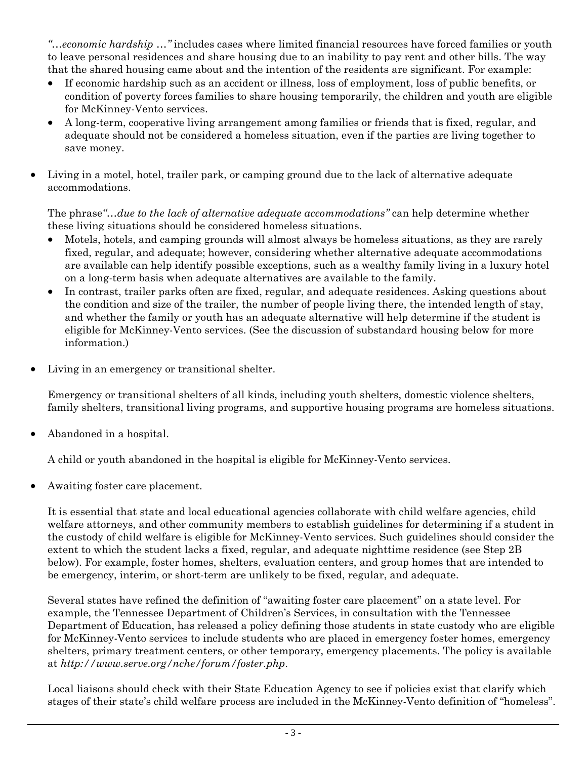*"…economic hardship …"* includes cases where limited financial resources have forced families or youth to leave personal residences and share housing due to an inability to pay rent and other bills. The way that the shared housing came about and the intention of the residents are significant. For example:

- If economic hardship such as an accident or illness, loss of employment, loss of public benefits, or condition of poverty forces families to share housing temporarily, the children and youth are eligible for McKinney-Vento services.
- A long-term, cooperative living arrangement among families or friends that is fixed, regular, and adequate should not be considered a homeless situation, even if the parties are living together to save money.
- Living in a motel, hotel, trailer park, or camping ground due to the lack of alternative adequate accommodations.

The phrase*"…due to the lack of alternative adequate accommodations"* can help determine whether these living situations should be considered homeless situations.

- Motels, hotels, and camping grounds will almost always be homeless situations, as they are rarely fixed, regular, and adequate; however, considering whether alternative adequate accommodations are available can help identify possible exceptions, such as a wealthy family living in a luxury hotel on a long-term basis when adequate alternatives are available to the family.
- In contrast, trailer parks often are fixed, regular, and adequate residences. Asking questions about the condition and size of the trailer, the number of people living there, the intended length of stay, and whether the family or youth has an adequate alternative will help determine if the student is eligible for McKinney-Vento services. (See the discussion of substandard housing below for more information.)
- Living in an emergency or transitional shelter.

Emergency or transitional shelters of all kinds, including youth shelters, domestic violence shelters, family shelters, transitional living programs, and supportive housing programs are homeless situations.

• Abandoned in a hospital.

A child or youth abandoned in the hospital is eligible for McKinney-Vento services.

• Awaiting foster care placement.

It is essential that state and local educational agencies collaborate with child welfare agencies, child welfare attorneys, and other community members to establish guidelines for determining if a student in the custody of child welfare is eligible for McKinney-Vento services. Such guidelines should consider the extent to which the student lacks a fixed, regular, and adequate nighttime residence (see Step 2B below). For example, foster homes, shelters, evaluation centers, and group homes that are intended to be emergency, interim, or short-term are unlikely to be fixed, regular, and adequate.

Several states have refined the definition of "awaiting foster care placement" on a state level. For example, the Tennessee Department of Children's Services, in consultation with the Tennessee Department of Education, has released a policy defining those students in state custody who are eligible for McKinney-Vento services to include students who are placed in emergency foster homes, emergency shelters, primary treatment centers, or other temporary, emergency placements. The policy is available at *http://www.serve.org/nche/forum/foster.php*.

Local liaisons should check with their State Education Agency to see if policies exist that clarify which stages of their state's child welfare process are included in the McKinney-Vento definition of "homeless".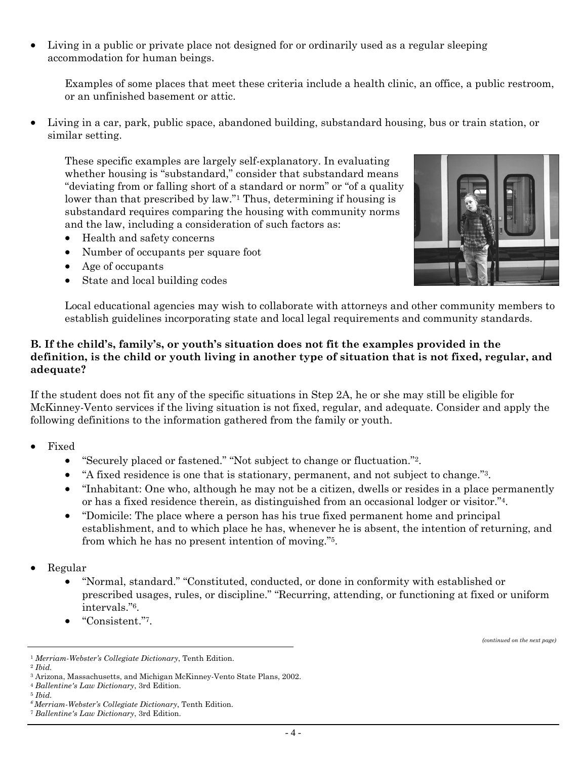• Living in a public or private place not designed for or ordinarily used as a regular sleeping accommodation for human beings.

Examples of some places that meet these criteria include a health clinic, an office, a public restroom, or an unfinished basement or attic.

• Living in a car, park, public space, abandoned building, substandard housing, bus or train station, or similar setting.

These specific examples are largely self-explanatory. In evaluating whether housing is "substandard," consider that substandard means "deviating from or falling short of a standard or norm" or "of a quality lower than that prescribed by law."1 Thus, determining if housing is substandard requires comparing the housing with community norms and the law, including a consideration of such factors as:

- Health and safety concerns
- Number of occupants per square foot
- Age of occupants
- State and local building codes



Local educational agencies may wish to collaborate with attorneys and other community members to establish guidelines incorporating state and local legal requirements and community standards.

#### **B. If the child's, family's, or youth's situation does not fit the examples provided in the definition, is the child or youth living in another type of situation that is not fixed, regular, and adequate?**

If the student does not fit any of the specific situations in Step 2A, he or she may still be eligible for McKinney-Vento services if the living situation is not fixed, regular, and adequate. Consider and apply the following definitions to the information gathered from the family or youth.

- Fixed
	- "Securely placed or fastened." "Not subject to change or fluctuation."2.
	- "A fixed residence is one that is stationary, permanent, and not subject to change."<sup>3</sup>.
	- "Inhabitant: One who, although he may not be a citizen, dwells or resides in a place permanently or has a fixed residence therein, as distinguished from an occasional lodger or visitor."4.
	- "Domicile: The place where a person has his true fixed permanent home and principal establishment, and to which place he has, whenever he is absent, the intention of returning, and from which he has no present intention of moving."5.
- Regular
	- "Normal, standard." "Constituted, conducted, or done in conformity with established or prescribed usages, rules, or discipline." "Recurring, attending, or functioning at fixed or uniform intervals."6.
	- "Consistent."7.

*(continued on the next page)* 

<sup>1</sup> *Merriam-Webster's Collegiate Dictionary*, Tenth Edition. 2 *Ibid.*

<sup>3</sup> Arizona, Massachusetts, and Michigan McKinney-Vento State Plans, 2002. 4 *Ballentine's Law Dictionary*, 3rd Edition. 5 *Ibid.*

*<sup>6</sup> Merriam-Webster's Collegiate Dictionary*, Tenth Edition. 7 *Ballentine's Law Dictionary*, 3rd Edition.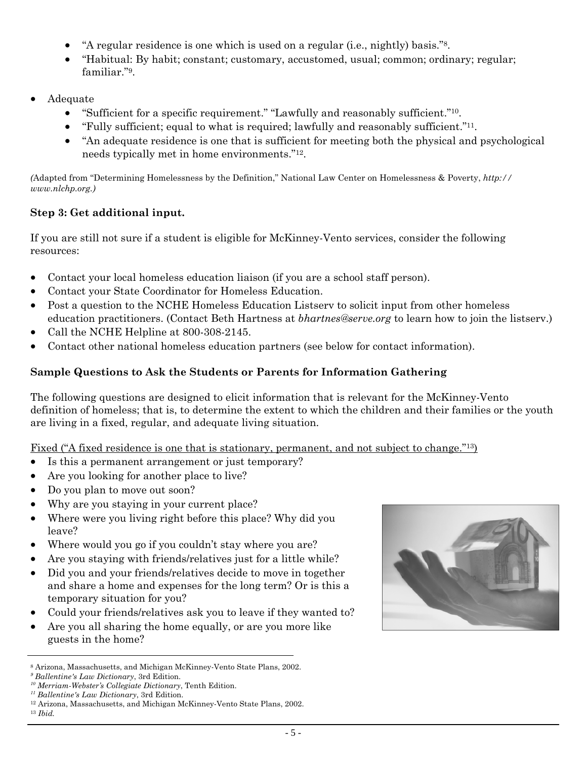- "A regular residence is one which is used on a regular (i.e., nightly) basis."8.
- "Habitual: By habit; constant; customary, accustomed, usual; common; ordinary; regular; familiar."9.
- Adequate
	- "Sufficient for a specific requirement." "Lawfully and reasonably sufficient."10.
	- "Fully sufficient; equal to what is required; lawfully and reasonably sufficient."<sup>11</sup>.
	- "An adequate residence is one that is sufficient for meeting both the physical and psychological needs typically met in home environments."12.

*(*Adapted from "Determining Homelessness by the Definition," National Law Center on Homelessness & Poverty, *http:// www.nlchp.org.)* 

# **Step 3: Get additional input.**

If you are still not sure if a student is eligible for McKinney-Vento services, consider the following resources:

- Contact your local homeless education liaison (if you are a school staff person).
- Contact your State Coordinator for Homeless Education.
- Post a question to the NCHE Homeless Education Listserv to solicit input from other homeless education practitioners. (Contact Beth Hartness at *bhartnes@serve.org* to learn how to join the listserv.)
- Call the NCHE Helpline at 800-308-2145.
- Contact other national homeless education partners (see below for contact information).

# **Sample Questions to Ask the Students or Parents for Information Gathering**

The following questions are designed to elicit information that is relevant for the McKinney-Vento definition of homeless; that is, to determine the extent to which the children and their families or the youth are living in a fixed, regular, and adequate living situation.

## Fixed ("A fixed residence is one that is stationary, permanent, and not subject to change."<sup>13</sup>)

- Is this a permanent arrangement or just temporary?
- Are you looking for another place to live?
- Do you plan to move out soon?
- Why are you staying in your current place?
- Where were you living right before this place? Why did you leave?
- Where would you go if you couldn't stay where you are?
- Are you staying with friends/relatives just for a little while?
- Did you and your friends/relatives decide to move in together and share a home and expenses for the long term? Or is this a temporary situation for you?
- Could your friends/relatives ask you to leave if they wanted to?
- Are you all sharing the home equally, or are you more like guests in the home?



<sup>8</sup> Arizona, Massachusetts, and Michigan McKinney-Vento State Plans, 2002.

*<sup>9</sup> Ballentine's Law Dictionary*, 3rd Edition.

*<sup>10</sup> Merriam-Webster's Collegiate Dictionary*, Tenth Edition.

<sup>&</sup>lt;sup>12</sup> Arizona, Massachusetts, and Michigan McKinney-Vento State Plans, 2002. <sup>13</sup> *Ibid.*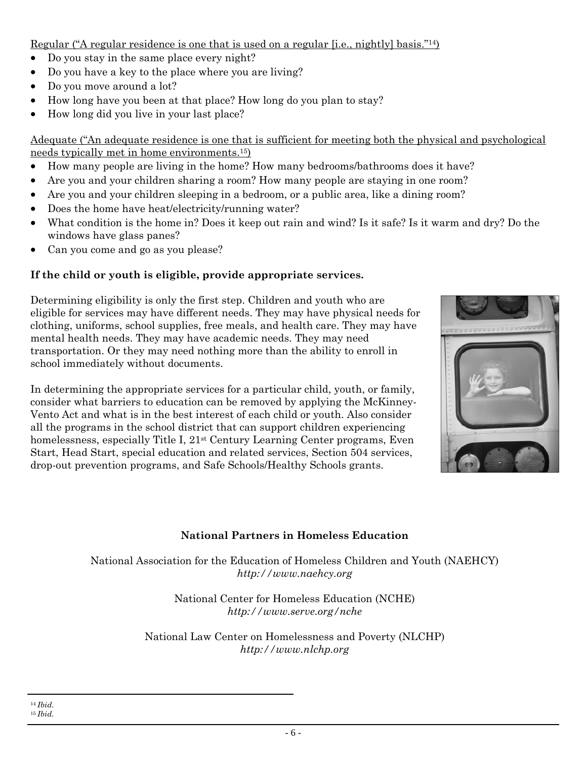Regular ("A regular residence is one that is used on a regular [i.e., nightly] basis."14)

- Do you stay in the same place every night?
- Do you have a key to the place where you are living?
- Do you move around a lot?
- How long have you been at that place? How long do you plan to stay?
- How long did you live in your last place?

Adequate ("An adequate residence is one that is sufficient for meeting both the physical and psychological needs typically met in home environments.15)

- How many people are living in the home? How many bedrooms/bathrooms does it have?
- Are you and your children sharing a room? How many people are staying in one room?
- Are you and your children sleeping in a bedroom, or a public area, like a dining room?
- Does the home have heat/electricity/running water?
- What condition is the home in? Does it keep out rain and wind? Is it safe? Is it warm and dry? Do the windows have glass panes?
- Can you come and go as you please?

## **If the child or youth is eligible, provide appropriate services.**

Determining eligibility is only the first step. Children and youth who are eligible for services may have different needs. They may have physical needs for clothing, uniforms, school supplies, free meals, and health care. They may have mental health needs. They may have academic needs. They may need transportation. Or they may need nothing more than the ability to enroll in school immediately without documents.

In determining the appropriate services for a particular child, youth, or family, consider what barriers to education can be removed by applying the McKinney-Vento Act and what is in the best interest of each child or youth. Also consider all the programs in the school district that can support children experiencing homelessness, especially Title I, 21<sup>st</sup> Century Learning Center programs, Even Start, Head Start, special education and related services, Section 504 services, drop-out prevention programs, and Safe Schools/Healthy Schools grants.



# **National Partners in Homeless Education**

National Association for the Education of Homeless Children and Youth (NAEHCY) *http://www.naehcy.org*

> National Center for Homeless Education (NCHE) *http://www.serve.org/nche*

National Law Center on Homelessness and Poverty (NLCHP) *http://www.nlchp.org*